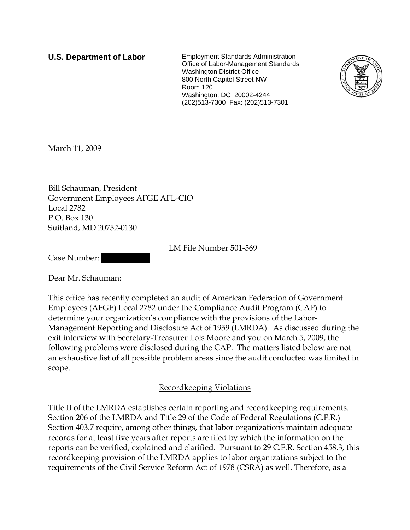**U.S. Department of Labor** Employment Standards Administration Office of Labor-Management Standards Washington District Office 800 North Capitol Street NW Room 120 Washington, DC 20002-4244 (202)513-7300 Fax: (202)513-7301



March 11, 2009

Bill Schauman, President Government Employees AFGE AFL-CIO Local 2782 P.O. Box 130 Suitland, MD 20752-0130

LM File Number 501-569

Case Number:

Dear Mr. Schauman:

This office has recently completed an audit of American Federation of Government Employees (AFGE) Local 2782 under the Compliance Audit Program (CAP) to determine your organization's compliance with the provisions of the Labor-Management Reporting and Disclosure Act of 1959 (LMRDA). As discussed during the exit interview with Secretary-Treasurer Lois Moore and you on March 5, 2009, the following problems were disclosed during the CAP. The matters listed below are not an exhaustive list of all possible problem areas since the audit conducted was limited in scope.

## Recordkeeping Violations

Title II of the LMRDA establishes certain reporting and recordkeeping requirements. Section 206 of the LMRDA and Title 29 of the Code of Federal Regulations (C.F.R.) Section 403.7 require, among other things, that labor organizations maintain adequate records for at least five years after reports are filed by which the information on the reports can be verified, explained and clarified. Pursuant to 29 C.F.R. Section 458.3, this recordkeeping provision of the LMRDA applies to labor organizations subject to the requirements of the Civil Service Reform Act of 1978 (CSRA) as well. Therefore, as a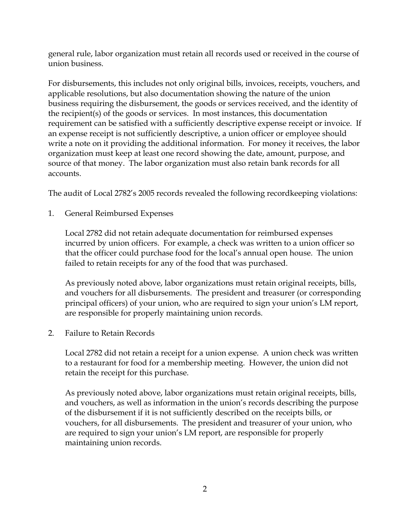general rule, labor organization must retain all records used or received in the course of union business.

For disbursements, this includes not only original bills, invoices, receipts, vouchers, and applicable resolutions, but also documentation showing the nature of the union business requiring the disbursement, the goods or services received, and the identity of the recipient(s) of the goods or services. In most instances, this documentation requirement can be satisfied with a sufficiently descriptive expense receipt or invoice. If an expense receipt is not sufficiently descriptive, a union officer or employee should write a note on it providing the additional information. For money it receives, the labor organization must keep at least one record showing the date, amount, purpose, and source of that money. The labor organization must also retain bank records for all accounts.

The audit of Local 2782's 2005 records revealed the following recordkeeping violations:

1. General Reimbursed Expenses

Local 2782 did not retain adequate documentation for reimbursed expenses incurred by union officers. For example, a check was written to a union officer so that the officer could purchase food for the local's annual open house. The union failed to retain receipts for any of the food that was purchased.

As previously noted above, labor organizations must retain original receipts, bills, and vouchers for all disbursements. The president and treasurer (or corresponding principal officers) of your union, who are required to sign your union's LM report, are responsible for properly maintaining union records.

2. Failure to Retain Records

Local 2782 did not retain a receipt for a union expense. A union check was written to a restaurant for food for a membership meeting. However, the union did not retain the receipt for this purchase.

As previously noted above, labor organizations must retain original receipts, bills, and vouchers, as well as information in the union's records describing the purpose of the disbursement if it is not sufficiently described on the receipts bills, or vouchers, for all disbursements. The president and treasurer of your union, who are required to sign your union's LM report, are responsible for properly maintaining union records.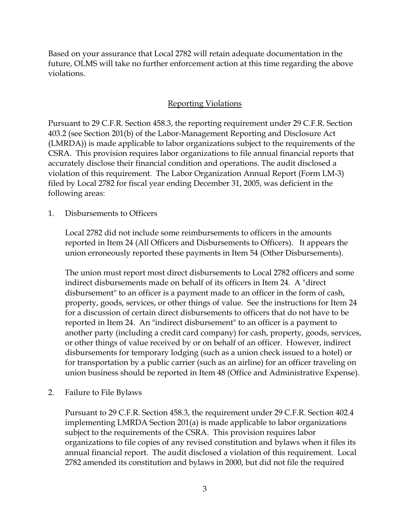Based on your assurance that Local 2782 will retain adequate documentation in the future, OLMS will take no further enforcement action at this time regarding the above violations.

## Reporting Violations

Pursuant to 29 C.F.R. Section 458.3, the reporting requirement under 29 C.F.R. Section 403.2 (see Section 201(b) of the Labor-Management Reporting and Disclosure Act (LMRDA)) is made applicable to labor organizations subject to the requirements of the CSRA. This provision requires labor organizations to file annual financial reports that accurately disclose their financial condition and operations. The audit disclosed a violation of this requirement. The Labor Organization Annual Report (Form LM-3) filed by Local 2782 for fiscal year ending December 31, 2005, was deficient in the following areas:

### 1. Disbursements to Officers

Local 2782 did not include some reimbursements to officers in the amounts reported in Item 24 (All Officers and Disbursements to Officers). It appears the union erroneously reported these payments in Item 54 (Other Disbursements).

The union must report most direct disbursements to Local 2782 officers and some indirect disbursements made on behalf of its officers in Item 24. A "direct disbursement" to an officer is a payment made to an officer in the form of cash, property, goods, services, or other things of value. See the instructions for Item 24 for a discussion of certain direct disbursements to officers that do not have to be reported in Item 24. An "indirect disbursement" to an officer is a payment to another party (including a credit card company) for cash, property, goods, services, or other things of value received by or on behalf of an officer. However, indirect disbursements for temporary lodging (such as a union check issued to a hotel) or for transportation by a public carrier (such as an airline) for an officer traveling on union business should be reported in Item 48 (Office and Administrative Expense).

2. Failure to File Bylaws

Pursuant to 29 C.F.R. Section 458.3, the requirement under 29 C.F.R. Section 402.4 implementing LMRDA Section 201(a) is made applicable to labor organizations subject to the requirements of the CSRA. This provision requires labor organizations to file copies of any revised constitution and bylaws when it files its annual financial report. The audit disclosed a violation of this requirement. Local 2782 amended its constitution and bylaws in 2000, but did not file the required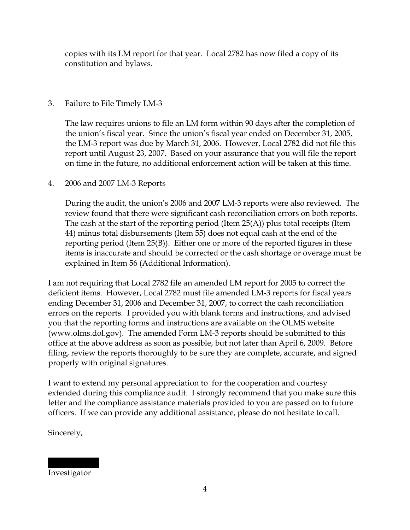copies with its LM report for that year. Local 2782 has now filed a copy of its constitution and bylaws.

# 3. Failure to File Timely LM-3

The law requires unions to file an LM form within 90 days after the completion of the union's fiscal year. Since the union's fiscal year ended on December 31, 2005, the LM-3 report was due by March 31, 2006. However, Local 2782 did not file this report until August 23, 2007. Based on your assurance that you will file the report on time in the future, no additional enforcement action will be taken at this time.

## 4. 2006 and 2007 LM-3 Reports

During the audit, the union's 2006 and 2007 LM-3 reports were also reviewed. The review found that there were significant cash reconciliation errors on both reports. The cash at the start of the reporting period (Item 25(A)) plus total receipts (Item 44) minus total disbursements (Item 55) does not equal cash at the end of the reporting period (Item 25(B)). Either one or more of the reported figures in these items is inaccurate and should be corrected or the cash shortage or overage must be explained in Item 56 (Additional Information).

I am not requiring that Local 2782 file an amended LM report for 2005 to correct the deficient items. However, Local 2782 must file amended LM-3 reports for fiscal years ending December 31, 2006 and December 31, 2007, to correct the cash reconciliation errors on the reports. I provided you with blank forms and instructions, and advised you that the reporting forms and instructions are available on the OLMS website (www.olms.dol.gov). The amended Form LM-3 reports should be submitted to this office at the above address as soon as possible, but not later than April 6, 2009. Before filing, review the reports thoroughly to be sure they are complete, accurate, and signed properly with original signatures.

I want to extend my personal appreciation to for the cooperation and courtesy extended during this compliance audit. I strongly recommend that you make sure this letter and the compliance assistance materials provided to you are passed on to future officers. If we can provide any additional assistance, please do not hesitate to call.

Sincerely,

||||| ||||| Investigator